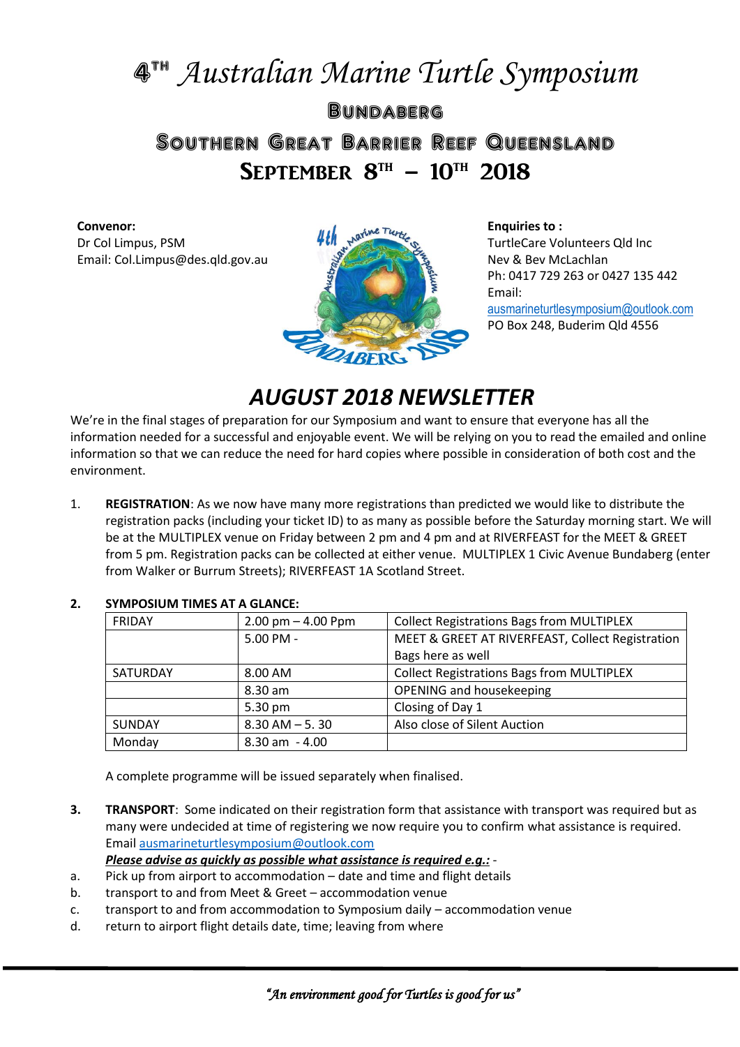# 4 th *Australian Marine Turtle Symposium* **BUNDABERG** Southern Great Barrier Reef Queensland SEPTEMBER  $8^{TH} - 10^{TH}$  2018

#### **Convenor:**

Dr Col Limpus, PSM Email: Col.Limpus@des.qld.gov.au



**Enquiries to :** TurtleCare Volunteers Qld Inc Nev & Bev McLachlan Ph: 0417 729 263 or 0427 135 442 Email: [ausmarineturtlesymposium@outlook.com](mailto:ausmarineturtlesymposium@outlook.com) PO Box 248, Buderim Qld 4556

# *AUGUST 2018 NEWSLETTER*

We're in the final stages of preparation for our Symposium and want to ensure that everyone has all the information needed for a successful and enjoyable event. We will be relying on you to read the emailed and online information so that we can reduce the need for hard copies where possible in consideration of both cost and the environment.

1. **REGISTRATION**: As we now have many more registrations than predicted we would like to distribute the registration packs (including your ticket ID) to as many as possible before the Saturday morning start. We will be at the MULTIPLEX venue on Friday between 2 pm and 4 pm and at RIVERFEAST for the MEET & GREET from 5 pm. Registration packs can be collected at either venue. MULTIPLEX 1 Civic Avenue Bundaberg (enter from Walker or Burrum Streets); RIVERFEAST 1A Scotland Street.

| <b>FRIDAY</b> | $2.00$ pm $- 4.00$ Ppm | <b>Collect Registrations Bags from MULTIPLEX</b> |
|---------------|------------------------|--------------------------------------------------|
|               | 5.00 PM -              | MEET & GREET AT RIVERFEAST, Collect Registration |
|               |                        | Bags here as well                                |
| SATURDAY      | 8.00 AM                | <b>Collect Registrations Bags from MULTIPLEX</b> |
|               | 8.30 am                | OPENING and housekeeping                         |
|               | 5.30 pm                | Closing of Day 1                                 |
| <b>SUNDAY</b> | $8.30$ AM $-5.30$      | Also close of Silent Auction                     |
| Monday        | $8.30$ am $-4.00$      |                                                  |

## **2. SYMPOSIUM TIMES AT A GLANCE:**

A complete programme will be issued separately when finalised.

**3. TRANSPORT**: Some indicated on their registration form that assistance with transport was required but as many were undecided at time of registering we now require you to confirm what assistance is required. Email [ausmarineturtlesymposium@outlook.com](mailto:ausmarineturtlesymposium@outlook.com)

*Please advise as quickly as possible what assistance is required e.g.:* -

- a. Pick up from airport to accommodation date and time and flight details
- b. transport to and from Meet & Greet accommodation venue
- c. transport to and from accommodation to Symposium daily accommodation venue
- d. return to airport flight details date, time; leaving from where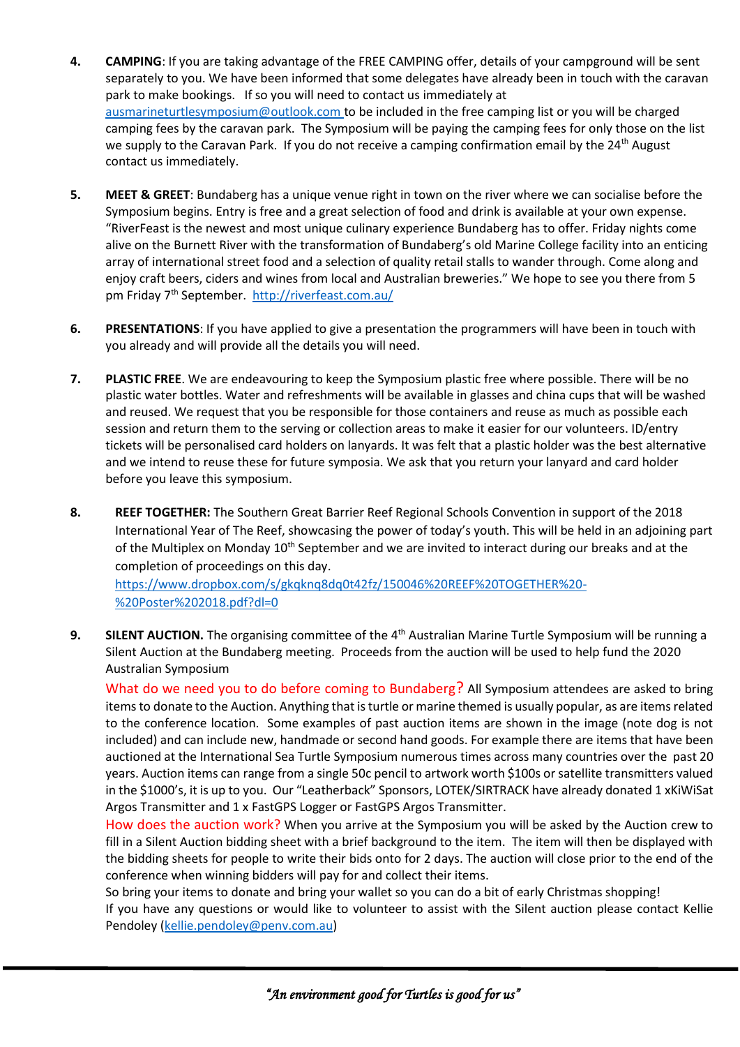- **4. CAMPING**: If you are taking advantage of the FREE CAMPING offer, details of your campground will be sent separately to you. We have been informed that some delegates have already been in touch with the caravan park to make bookings. If so you will need to contact us immediately at [ausmarineturtlesymposium@outlook.com](mailto:ausmarineturtlesymposium@outlook.com) to be included in the free camping list or you will be charged camping fees by the caravan park. The Symposium will be paying the camping fees for only those on the list we supply to the Caravan Park. If you do not receive a camping confirmation email by the 24<sup>th</sup> August contact us immediately.
- **5. MEET & GREET**: Bundaberg has a unique venue right in town on the river where we can socialise before the Symposium begins. Entry is free and a great selection of food and drink is available at your own expense. "RiverFeast is the newest and most unique culinary experience Bundaberg has to offer. Friday nights come alive on the Burnett River with the transformation of Bundaberg's old Marine College facility into an enticing array of international street food and a selection of quality retail stalls to wander through. Come along and enjoy craft beers, ciders and wines from local and Australian breweries." We hope to see you there from 5 pm Friday 7<sup>th</sup> September. <http://riverfeast.com.au/>
- **6. PRESENTATIONS**: If you have applied to give a presentation the programmers will have been in touch with you already and will provide all the details you will need.
- **7. PLASTIC FREE**. We are endeavouring to keep the Symposium plastic free where possible. There will be no plastic water bottles. Water and refreshments will be available in glasses and china cups that will be washed and reused. We request that you be responsible for those containers and reuse as much as possible each session and return them to the serving or collection areas to make it easier for our volunteers. ID/entry tickets will be personalised card holders on lanyards. It was felt that a plastic holder was the best alternative and we intend to reuse these for future symposia. We ask that you return your lanyard and card holder before you leave this symposium.
- **8. REEF TOGETHER:** The Southern Great Barrier Reef Regional Schools Convention in support of the 2018 International Year of The Reef, showcasing the power of today's youth. This will be held in an adjoining part of the Multiplex on Monday 10<sup>th</sup> September and we are invited to interact during our breaks and at the completion of proceedings on this day.

[https://www.dropbox.com/s/gkqknq8dq0t42fz/150046%20REEF%20TOGETHER%20-](https://www.dropbox.com/s/gkqknq8dq0t42fz/150046%20REEF%20TOGETHER%20-%20Poster%202018.pdf?dl=0) [%20Poster%202018.pdf?dl=0](https://www.dropbox.com/s/gkqknq8dq0t42fz/150046%20REEF%20TOGETHER%20-%20Poster%202018.pdf?dl=0)

9. SILENT AUCTION. The organising committee of the 4<sup>th</sup> Australian Marine Turtle Symposium will be running a Silent Auction at the Bundaberg meeting. Proceeds from the auction will be used to help fund the 2020 Australian Symposium

What do we need you to do before coming to Bundaberg? All Symposium attendees are asked to bring items to donate to the Auction. Anything that is turtle or marine themed is usually popular, as are items related to the conference location. Some examples of past auction items are shown in the image (note dog is not included) and can include new, handmade or second hand goods. For example there are items that have been auctioned at the International Sea Turtle Symposium numerous times across many countries over the past 20 years. Auction items can range from a single 50c pencil to artwork worth \$100s or satellite transmitters valued in the \$1000's, it is up to you. Our "Leatherback" Sponsors, LOTEK/SIRTRACK have already donated 1 xKiWiSat Argos Transmitter and 1 x FastGPS Logger or FastGPS Argos Transmitter.

How does the auction work? When you arrive at the Symposium you will be asked by the Auction crew to fill in a Silent Auction bidding sheet with a brief background to the item. The item will then be displayed with the bidding sheets for people to write their bids onto for 2 days. The auction will close prior to the end of the conference when winning bidders will pay for and collect their items.

So bring your items to donate and bring your wallet so you can do a bit of early Christmas shopping!

If you have any questions or would like to volunteer to assist with the Silent auction please contact Kellie Pendoley [\(kellie.pendoley@penv.com.au\)](mailto:kellie.pendoley@penv.com.au)